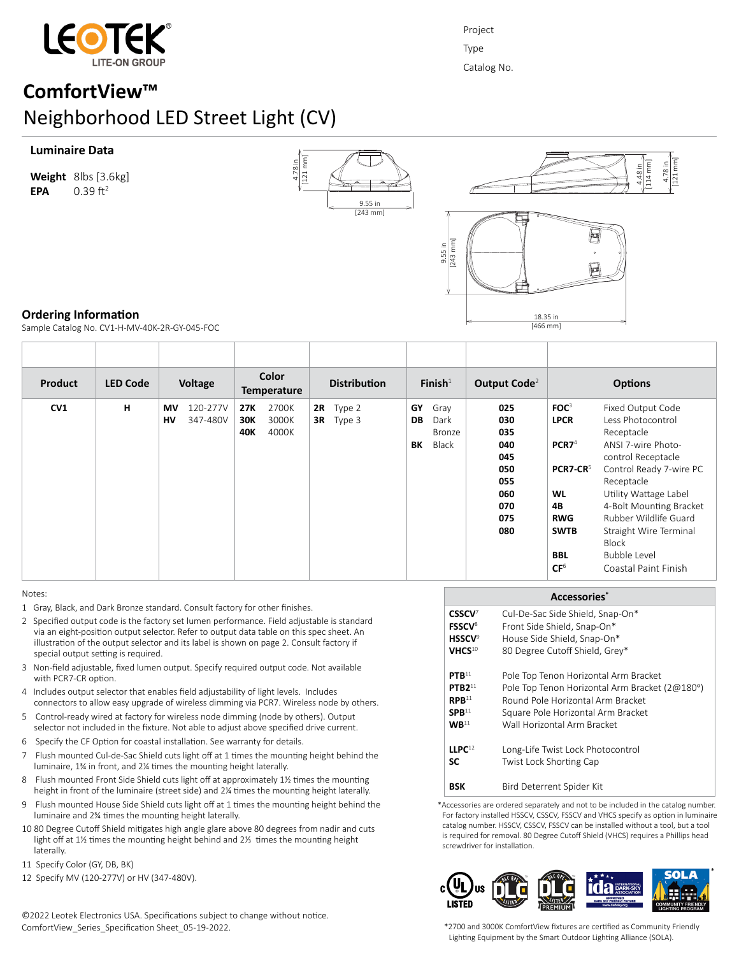

Project Type Catalog No.

# **ComfortView™** Neighborhood LED Street Light (CV)

#### **Luminaire Data**

**Weight** 8lbs [3.6kg] **EPA**  $0.39 \text{ ft}^2$ 





4.78 in [121 mm]

# **Ordering Information**

Sample Catalog No. CV1-H-MV-40K-2R-GY-045-FOC

| <b>Product</b> | <b>LED Code</b> | Voltage                          | Color<br><b>Temperature</b>                  | <b>Distribution</b>             | Finish $1$                                        | Output Code <sup>2</sup>                                                  | <b>Options</b>                                                                                                                                         |                                                                                                                                                                                                                                                                                                          |
|----------------|-----------------|----------------------------------|----------------------------------------------|---------------------------------|---------------------------------------------------|---------------------------------------------------------------------------|--------------------------------------------------------------------------------------------------------------------------------------------------------|----------------------------------------------------------------------------------------------------------------------------------------------------------------------------------------------------------------------------------------------------------------------------------------------------------|
| CV1            | н               | 120-277V<br>MV<br>347-480V<br>HV | 2700K<br>27K<br>3000K<br>30K<br>40K<br>4000K | <b>2R</b> Type 2<br>$3R$ Type 3 | GY<br>Gray<br>DB<br>Dark<br>Bronze<br>Black<br>BK | 025<br>030<br>035<br>040<br>045<br>050<br>055<br>060<br>070<br>075<br>080 | FOC <sup>3</sup><br><b>LPCR</b><br>PCR7 <sup>4</sup><br>PCR7-CR <sup>5</sup><br>WL<br>4B<br><b>RWG</b><br><b>SWTB</b><br><b>BBL</b><br>CF <sup>6</sup> | Fixed Output Code<br>Less Photocontrol<br>Receptacle<br>ANSI 7-wire Photo-<br>control Receptacle<br>Control Ready 7-wire PC<br>Receptacle<br>Utility Wattage Label<br>4-Bolt Mounting Bracket<br>Rubber Wildlife Guard<br>Straight Wire Terminal<br><b>Block</b><br>Bubble Level<br>Coastal Paint Finish |

#### Notes:

- 1 Gray, Black, and Dark Bronze standard. Consult factory for other finishes.
- 2 Specified output code is the factory set lumen performance. Field adjustable is standard via an eight-position output selector. Refer to output data table on this spec sheet. An illustration of the output selector and its label is shown on page 2. Consult factory if special output setting is required.
- 3 Non-field adjustable, fixed lumen output. Specify required output code. Not available with PCR7-CR option.
- 4 Includes output selector that enables field adjustability of light levels. Includes connectors to allow easy upgrade of wireless dimming via PCR7. Wireless node by others.
- 5 Control-ready wired at factory for wireless node dimming (node by others). Output selector not included in the fixture. Not able to adjust above specified drive current.
- 6 Specify the CF Option for coastal installation. See warranty for details.
- 7 Flush mounted Cul-de-Sac Shield cuts light off at 1 times the mounting height behind the luminaire, 1¾ in front, and 2¼ times the mounting height laterally.
- 8 Flush mounted Front Side Shield cuts light off at approximately 1½ times the mounting height in front of the luminaire (street side) and 2¼ times the mounting height laterally.
- 9 Flush mounted House Side Shield cuts light off at 1 times the mounting height behind the luminaire and 2¾ times the mounting height laterally.
- 10 80 Degree Cutoff Shield mitigates high angle glare above 80 degrees from nadir and cuts light off at 1½ times the mounting height behind and 2⅓ times the mounting height laterally.
- 11 Specify Color (GY, DB, BK)
- 12 Specify MV (120-277V) or HV (347-480V).

©2022 Leotek Electronics USA. Specifications subject to change without notice. ComfortView\_Series\_Specification Sheet\_05-19-2022.

#### **Accessories\* CSSCV**<sup>7</sup> **FSSCV**<sup>8</sup> **HSSCV**<sup>9</sup> **VHCS**<sup>10</sup> **PTB**<sup>11</sup> **PTB2**<sup>11</sup>  $R$ **PR**<sup>11</sup> **SPB**<sup>11</sup>  $WB<sup>11</sup>$ **LLPC**<sup>12</sup> **SC BSK** Cul-De-Sac Side Shield, Snap-On\* Front Side Shield, Snap-On\* House Side Shield, Snap-On\* 80 Degree Cutoff Shield, Grey\* Pole Top Tenon Horizontal Arm Bracket Pole Top Tenon Horizontal Arm Bracket (2@180°) Round Pole Horizontal Arm Bracket Square Pole Horizontal Arm Bracket Wall Horizontal Arm Bracket Long-Life Twist Lock Photocontrol Twist Lock Shorting Cap Bird Deterrent Spider Kit

\*Accessories are ordered separately and not to be included in the catalog number. For factory installed HSSCV, CSSCV, FSSCV and VHCS specify as option in luminaire catalog number. HSSCV, CSSCV, FSSCV can be installed without a tool, but a tool is required for removal. 80 Degree Cutoff Shield (VHCS) requires a Phillips head screwdriver for installation.



\*2700 and 3000K ComfortView fixtures are certified as Community Friendly Lighting Equipment by the Smart Outdoor Lighting Alliance (SOLA).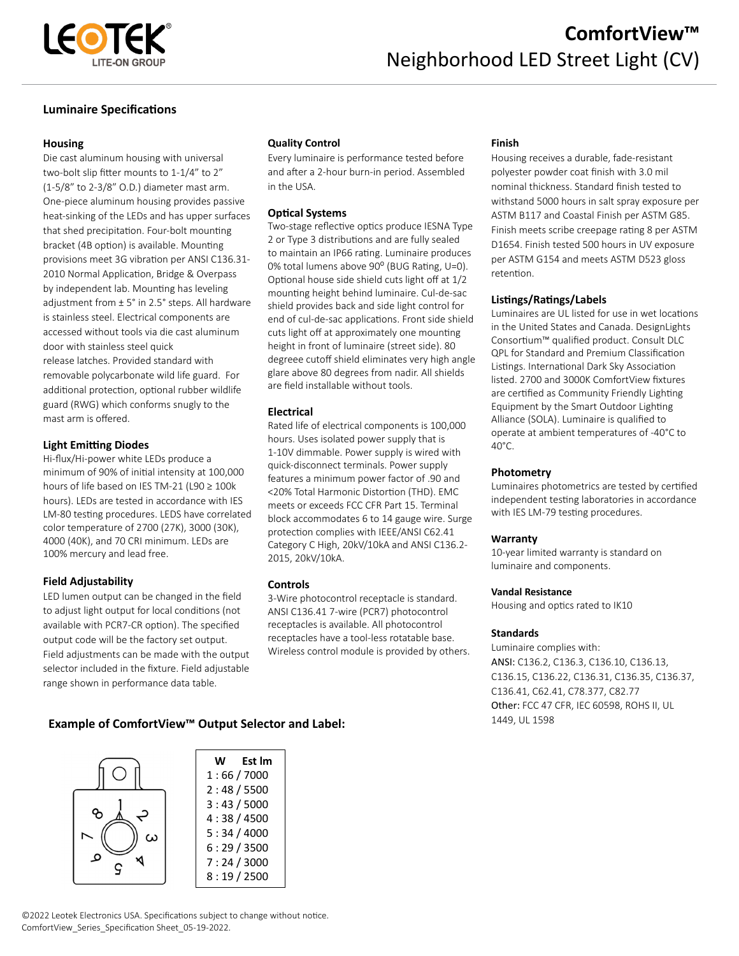

# **Luminaire Specifications**

#### **Housing**

Die cast aluminum housing with universal two-bolt slip fitter mounts to 1-1/4" to 2" (1-5/8" to 2-3/8" O.D.) diameter mast arm. One-piece aluminum housing provides passive heat-sinking of the LEDs and has upper surfaces that shed precipitation. Four-bolt mounting bracket (4B option) is available. Mounting provisions meet 3G vibration per ANSI C136.31- 2010 Normal Application, Bridge & Overpass by independent lab. Mounting has leveling adjustment from ± 5° in 2.5° steps. All hardware is stainless steel. Electrical components are accessed without tools via die cast aluminum door with stainless steel quick release latches. Provided standard with removable polycarbonate wild life guard. For additional protection, optional rubber wildlife guard (RWG) which conforms snugly to the mast arm is offered.

# **Light Emitting Diodes**

Hi-flux/Hi-power white LEDs produce a minimum of 90% of initial intensity at 100,000 hours of life based on IES TM-21 (L90 ≥ 100k hours). LEDs are tested in accordance with IES LM-80 testing procedures. LEDS have correlated color temperature of 2700 (27K), 3000 (30K), 4000 (40K), and 70 CRI minimum. LEDs are 100% mercury and lead free.

# **Field Adjustability**

LED lumen output can be changed in the field to adjust light output for local conditions (not available with PCR7-CR option). The specified output code will be the factory set output. Field adjustments can be made with the output selector included in the fixture. Field adjustable range shown in performance data table.

# **Quality Control**

Every luminaire is performance tested before and after a 2-hour burn-in period. Assembled in the USA.

# **Optical Systems**

Two-stage reflective optics produce IESNA Type 2 or Type 3 distributions and are fully sealed to maintain an IP66 rating. Luminaire produces 0% total lumens above 90° (BUG Rating, U=0). Optional house side shield cuts light off at 1/2 mounting height behind luminaire. Cul-de-sac shield provides back and side light control for end of cul-de-sac applications. Front side shield cuts light off at approximately one mounting height in front of luminaire (street side). 80 degreee cutoff shield eliminates very high angle glare above 80 degrees from nadir. All shields are field installable without tools.

#### **Electrical**

Rated life of electrical components is 100,000 hours. Uses isolated power supply that is 1-10V dimmable. Power supply is wired with quick-disconnect terminals. Power supply features a minimum power factor of .90 and <20% Total Harmonic Distortion (THD). EMC meets or exceeds FCC CFR Part 15. Terminal block accommodates 6 to 14 gauge wire. Surge protection complies with IEEE/ANSI C62.41 Category C High, 20kV/10kA and ANSI C136.2- 2015, 20kV/10kA.

# **Controls**

3-Wire photocontrol receptacle is standard. ANSI C136.41 7-wire (PCR7) photocontrol receptacles is available. All photocontrol receptacles have a tool-less rotatable base. Wireless control module is provided by others.

#### **Finish**

Housing receives a durable, fade-resistant polyester powder coat finish with 3.0 mil nominal thickness. Standard finish tested to withstand 5000 hours in salt spray exposure per ASTM B117 and Coastal Finish per ASTM G85. Finish meets scribe creepage rating 8 per ASTM D1654. Finish tested 500 hours in UV exposure per ASTM G154 and meets ASTM D523 gloss retention.

#### **Listings/Ratings/Labels**

Luminaires are UL listed for use in wet locations in the United States and Canada. DesignLights Consortium™ qualified product. Consult DLC QPL for Standard and Premium Classification Listings. International Dark Sky Association listed. 2700 and 3000K ComfortView fixtures are certified as Community Friendly Lighting Equipment by the Smart Outdoor Lighting Alliance (SOLA). Luminaire is qualified to operate at ambient temperatures of -40°C to 40°C.

#### **Photometry**

Luminaires photometrics are tested by certified independent testing laboratories in accordance with IES LM-79 testing procedures.

#### **Warranty**

10-year limited warranty is standard on luminaire and components.

#### **Vandal Resistance**

Housing and optics rated to IK10

#### **Standards**

Luminaire complies with: ANSI: C136.2, C136.3, C136.10, C136.13, C136.15, C136.22, C136.31, C136.35, C136.37, C136.41, C62.41, C78.377, C82.77 Other: FCC 47 CFR, IEC 60598, ROHS II, UL

# 1449, UL 1598 **Example of ComfortView™ Output Selector and Label:**



©2022 Leotek Electronics USA. Specifications subject to change without notice. ComfortView\_Series\_Specification Sheet\_05-19-2022.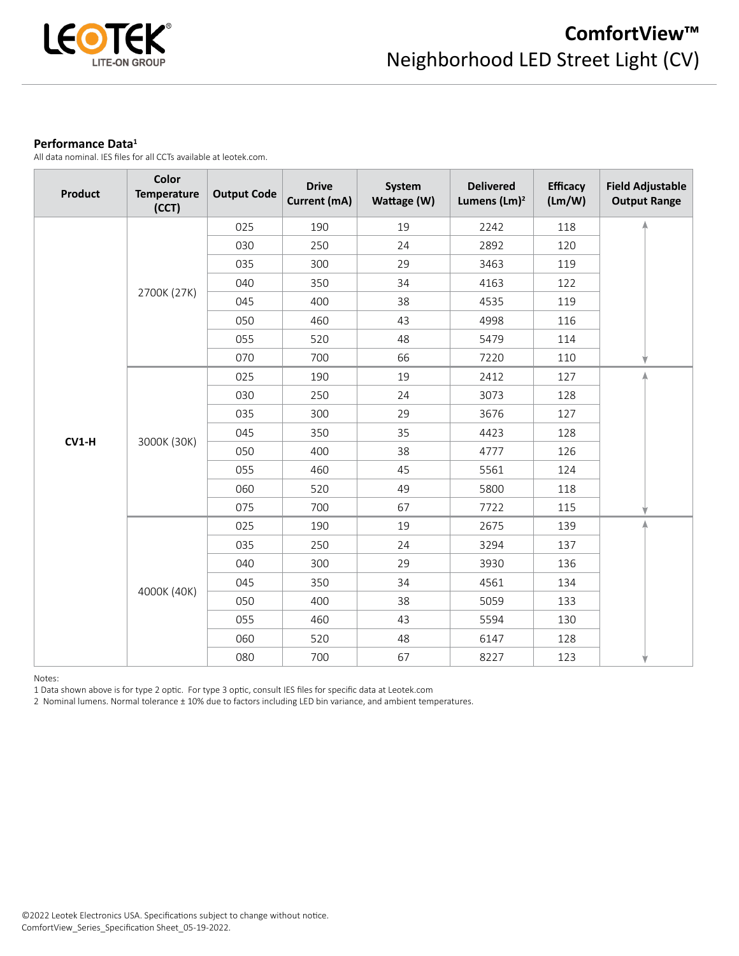

#### **Performance Data<sup>1</sup>**

All data nominal. IES files for all CCTs available at leotek.com.

| <b>Product</b> | Color<br><b>Temperature</b><br>(CCT) | <b>Output Code</b> | <b>Drive</b><br>Current (mA) | System<br>Wattage (W) | <b>Delivered</b><br>Lumens (Lm) <sup>2</sup> | <b>Efficacy</b><br>(Lm/W) | <b>Field Adjustable</b><br><b>Output Range</b> |
|----------------|--------------------------------------|--------------------|------------------------------|-----------------------|----------------------------------------------|---------------------------|------------------------------------------------|
|                |                                      | 025                | 190                          | 19                    | 2242                                         | 118                       |                                                |
|                |                                      | 030                | 250                          | 24                    | 2892                                         | 120                       |                                                |
|                |                                      | 035                | 300                          | 29                    | 3463                                         | 119                       |                                                |
|                |                                      | 040                | 350                          | 34                    | 4163                                         | 122                       |                                                |
|                | 2700K (27K)                          | 045                | 400                          | 38                    | 4535                                         | 119                       |                                                |
|                |                                      | 050                | 460                          | 43                    | 4998                                         | 116                       |                                                |
|                |                                      | 055                | 520                          | 48                    | 5479                                         | 114                       |                                                |
|                |                                      | 070                | 700                          | 66                    | 7220                                         | 110                       |                                                |
|                |                                      | 025                | 190                          | 19                    | 2412                                         | 127                       |                                                |
|                |                                      | 030                | 250                          | 24                    | 3073                                         | 128                       |                                                |
|                |                                      | 035                | 300                          | 29                    | 3676                                         | 127                       |                                                |
| $CV1-H$        | 3000K (30K)                          | 045                | 350                          | 35                    | 4423                                         | 128                       |                                                |
|                |                                      | 050                | 400                          | 38                    | 4777                                         | 126                       |                                                |
|                |                                      | 055                | 460                          | 45                    | 5561                                         | 124                       |                                                |
|                |                                      | 060                | 520                          | 49                    | 5800                                         | 118                       |                                                |
|                |                                      | 075                | 700                          | 67                    | 7722                                         | 115                       |                                                |
|                |                                      | 025                | 190                          | 19                    | 2675                                         | 139                       |                                                |
|                |                                      | 035                | 250                          | 24                    | 3294                                         | 137                       |                                                |
|                |                                      | 040                | 300                          | 29                    | 3930                                         | 136                       |                                                |
|                |                                      | 045                | 350                          | 34                    | 4561<br>134                                  |                           |                                                |
|                | 4000K (40K)                          | 050                | 400                          | 38                    | 5059                                         | 133                       |                                                |
|                |                                      | 055                | 460<br>43<br>5594            | 130                   |                                              |                           |                                                |
|                |                                      | 060                | 520                          | 48                    | 6147                                         | 128                       |                                                |
|                |                                      | 080                | 700                          | 67                    | 8227                                         | 123                       |                                                |

Notes:

1 Data shown above is for type 2 optic. For type 3 optic, consult IES files for specific data at Leotek.com

2 Nominal lumens. Normal tolerance ± 10% due to factors including LED bin variance, and ambient temperatures.